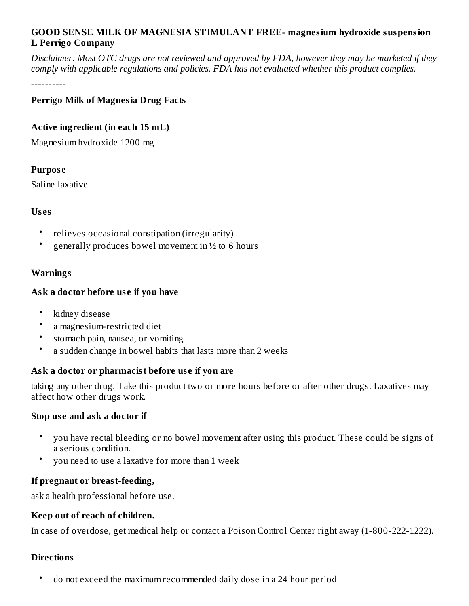# **GOOD SENSE MILK OF MAGNESIA STIMULANT FREE- magnesium hydroxide suspension L Perrigo Company**

Disclaimer: Most OTC drugs are not reviewed and approved by FDA, however they may be marketed if they *comply with applicable regulations and policies. FDA has not evaluated whether this product complies.*

----------

# **Perrigo Milk of Magnesia Drug Facts**

# **Active ingredient (in each 15 mL)**

Magnesium hydroxide 1200 mg

# **Purpos e**

Saline laxative

# **Us es**

- relieves occasional constipation (irregularity)
- generally produces bowel movement in ½ to 6 hours

# **Warnings**

# **Ask a doctor before us e if you have**

- kidney disease
- a magnesium-restricted diet
- stomach pain, nausea, or vomiting
- a sudden change in bowel habits that lasts more than 2 weeks

# **Ask a doctor or pharmacist before us e if you are**

taking any other drug. Take this product two or more hours before or after other drugs. Laxatives may affect how other drugs work.

# **Stop us e and ask a doctor if**

- you have rectal bleeding or no bowel movement after using this product. These could be signs of a serious condition.
- you need to use a laxative for more than 1 week

# **If pregnant or breast-feeding,**

ask a health professional before use.

# **Keep out of reach of children.**

In case of overdose, get medical help or contact a Poison Control Center right away (1-800-222-1222).

# **Directions**

• do not exceed the maximum recommended daily dose in a 24 hour period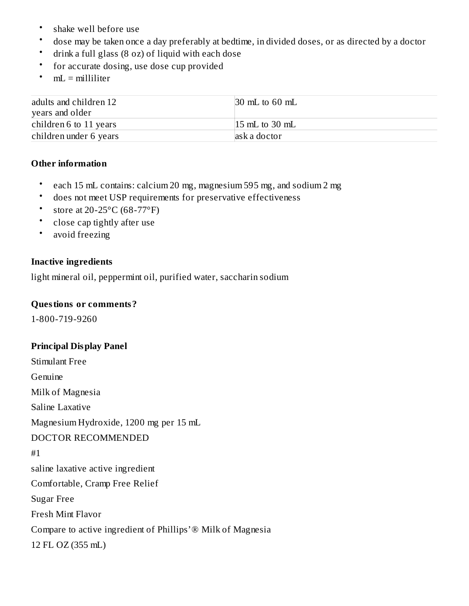- shake well before use
- dose may be taken once a day preferably at bedtime, in divided doses, or as directed by a doctor
- drink a full glass (8 oz) of liquid with each dose
- for accurate dosing, use dose cup provided
- $mL =$  milliliter

| adults and children 12 | $\vert$ 30 mL to 60 mL |
|------------------------|------------------------|
| years and older        |                        |
| children 6 to 11 years | $15$ mL to 30 mL       |
| children under 6 years | ask a doctor           |

#### **Other information**

- each 15 mL contains: calcium 20 mg, magnesium 595 mg, and sodium 2 mg
- does not meet USP requirements for preservative effectiveness
- store at 20-25°C (68-77°F)
- close cap tightly after use
- avoid freezing

#### **Inactive ingredients**

light mineral oil, peppermint oil, purified water, saccharin sodium

#### **Questions or comments?**

1-800-719-9260

# **Principal Display Panel**

Stimulant Free Genuine Milk of Magnesia Saline Laxative Magnesium Hydroxide, 1200 mg per 15 mL DOCTOR RECOMMENDED #1 saline laxative active ingredient Comfortable, Cramp Free Relief Sugar Free Fresh Mint Flavor Compare to active ingredient of Phillips'® Milk of Magnesia 12 FL OZ (355 mL)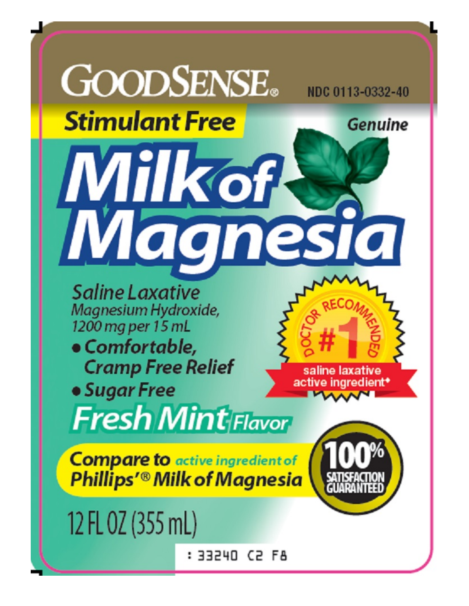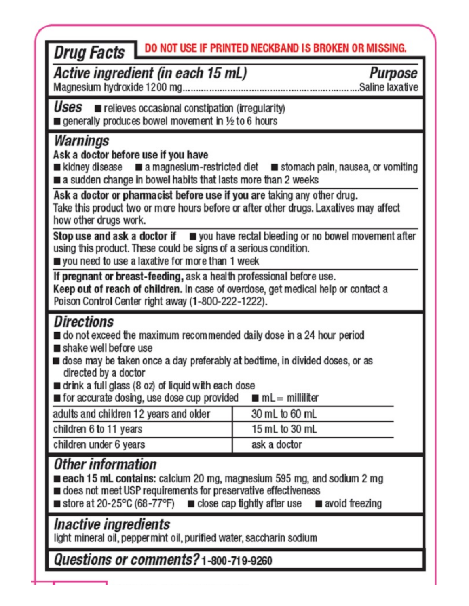| <b>Drug Facts</b> DO NOT USE IF PRINTED NECKBAND IS BROKEN OR MISSING.<br>Active ingredient (in each 15 mL)<br>Magnesium hydroxide 1200 mg                                                                                                                                                                                                                                                         | Purpose<br>Saline laxative |  |  |  |
|----------------------------------------------------------------------------------------------------------------------------------------------------------------------------------------------------------------------------------------------------------------------------------------------------------------------------------------------------------------------------------------------------|----------------------------|--|--|--|
| $\textit{Users}$ $\blacksquare$ relieves occasional constipation (irregularity)<br>generally produces bowel movement in 1/2 to 6 hours                                                                                                                                                                                                                                                             |                            |  |  |  |
| Warnings<br>Ask a doctor before use if you have<br>■ kidney disease ■ a magnesium-restricted diet ■ stomach pain, nausea, or vomiting<br>a sudden change in bowel habits that lasts more than 2 weeks<br>Ask a doctor or pharmacist before use if you are taking any other drug.<br>Take this product two or more hours before or after other drugs. Laxatives may affect<br>how other drugs work. |                            |  |  |  |
| Stop use and ask a doctor if $\Box$ you have rectal bleeding or no bowel movement after<br>using this product. These could be signs of a serious condition.<br>you need to use a laxative for more than 1 week                                                                                                                                                                                     |                            |  |  |  |
| If pregnant or breast-feeding, ask a health professional before use.<br>Keep out of reach of children. In case of overdose, get medical help or contact a<br>Poison Control Center right away (1-800-222-1222).                                                                                                                                                                                    |                            |  |  |  |
| Directions<br>■ do not exceed the maximum recommended daily dose in a 24 hour period<br>■ shake well before use<br>∎ dose may be taken once a day preferably at bedtime, in divided doses, or as<br>directed by a doctor<br>drink a full glass (8 oz) of liquid with each dose<br>for accurate dosing, use dose cup provided<br>$mL =$ milliliter                                                  |                            |  |  |  |
| adults and children 12 years and older                                                                                                                                                                                                                                                                                                                                                             | 30 mL to 60 mL             |  |  |  |
| children 6 to 11 years                                                                                                                                                                                                                                                                                                                                                                             | 15 mL to 30 mL             |  |  |  |
| children under 6 years                                                                                                                                                                                                                                                                                                                                                                             | ask a doctor               |  |  |  |
| Other information<br>each 15 mL contains: calcium 20 mg, magnesium 595 mg, and sodium 2 mg<br>does not meet USP requirements for preservative effectiveness<br>store at 20-25°C (68-77°F) $\blacksquare$ close cap tightly after use $\blacksquare$ avoid freezing                                                                                                                                 |                            |  |  |  |
| <i>Inactive ingredients</i><br>light mineral oil, peppermint oil, purified water, saccharin sodium                                                                                                                                                                                                                                                                                                 |                            |  |  |  |
| Questions or comments? 1-800-719-9260                                                                                                                                                                                                                                                                                                                                                              |                            |  |  |  |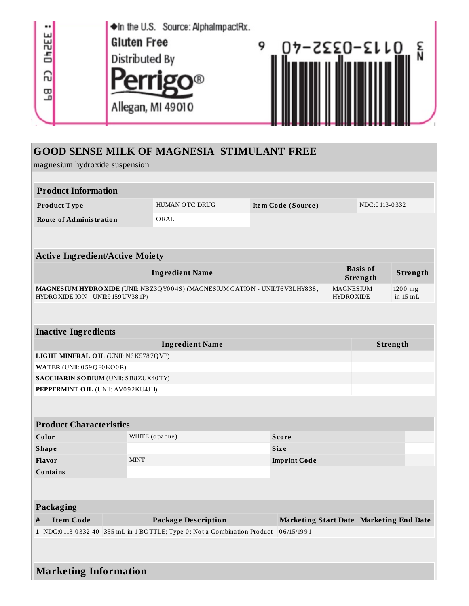

| <b>GOOD SENSE MILK OF MAGNESIA STIMULANT FREE</b> |  |
|---------------------------------------------------|--|
|---------------------------------------------------|--|

magnesium hydroxide suspension

| <b>Product Information</b>                                                                                           |                                                                          |                     |                                         |                             |                       |  |  |
|----------------------------------------------------------------------------------------------------------------------|--------------------------------------------------------------------------|---------------------|-----------------------------------------|-----------------------------|-----------------------|--|--|
| Product Type                                                                                                         | HUMAN OTC DRUG                                                           | Item Code (Source)  |                                         | NDC:0113-0332               |                       |  |  |
| <b>Route of Administration</b>                                                                                       | ORAL                                                                     |                     |                                         |                             |                       |  |  |
|                                                                                                                      |                                                                          |                     |                                         |                             |                       |  |  |
| <b>Active Ingredient/Active Moiety</b>                                                                               |                                                                          |                     |                                         |                             |                       |  |  |
|                                                                                                                      | <b>Ingredient Name</b>                                                   |                     |                                         | <b>Basis of</b><br>Strength | Strength              |  |  |
| MAGNESIUM HYDRO XIDE (UNII: NBZ3QY004S) (MAGNESIUM CATION - UNII:T6V3LHY838,<br>HYDRO XIDE ION - UNII:9 159 UV38 1P) |                                                                          |                     | <b>MAGNESIUM</b><br><b>HYDROXIDE</b>    |                             | 1200 mg<br>in $15$ mL |  |  |
|                                                                                                                      |                                                                          |                     |                                         |                             |                       |  |  |
| <b>Inactive Ingredients</b>                                                                                          |                                                                          |                     |                                         |                             |                       |  |  |
| <b>Ingredient Name</b>                                                                                               |                                                                          |                     | Strength                                |                             |                       |  |  |
| LIGHT MINERAL OIL (UNII: N6K5787QVP)                                                                                 |                                                                          |                     |                                         |                             |                       |  |  |
| WATER (UNII: 059QF0KO0R)                                                                                             |                                                                          |                     |                                         |                             |                       |  |  |
| SACCHARIN SODIUM (UNII: SB8ZUX40TY)                                                                                  |                                                                          |                     |                                         |                             |                       |  |  |
| PEPPERMINT OIL (UNII: AV092KU4JH)                                                                                    |                                                                          |                     |                                         |                             |                       |  |  |
|                                                                                                                      |                                                                          |                     |                                         |                             |                       |  |  |
| <b>Product Characteristics</b>                                                                                       |                                                                          |                     |                                         |                             |                       |  |  |
| Color                                                                                                                | WHITE (opaque)                                                           | <b>Score</b>        |                                         |                             |                       |  |  |
| <b>Shape</b>                                                                                                         |                                                                          | <b>Size</b>         |                                         |                             |                       |  |  |
| Flavor<br><b>MINT</b>                                                                                                |                                                                          | <b>Imprint Code</b> |                                         |                             |                       |  |  |
| <b>Contains</b>                                                                                                      |                                                                          |                     |                                         |                             |                       |  |  |
|                                                                                                                      |                                                                          |                     |                                         |                             |                       |  |  |
| Packaging                                                                                                            |                                                                          |                     |                                         |                             |                       |  |  |
| <b>Item Code</b><br>$\#$                                                                                             | <b>Package Description</b>                                               |                     | Marketing Start Date Marketing End Date |                             |                       |  |  |
|                                                                                                                      | 1 NDC:0113-0332-40 355 mL in 1 BOTTLE; Type 0: Not a Combination Product | 06/15/1991          |                                         |                             |                       |  |  |
|                                                                                                                      |                                                                          |                     |                                         |                             |                       |  |  |
| <b>Marketing Information</b>                                                                                         |                                                                          |                     |                                         |                             |                       |  |  |